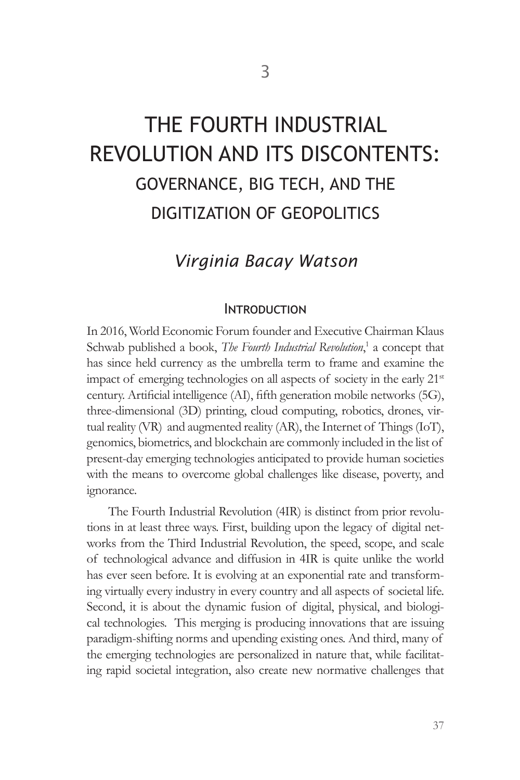# THE FOURTH INDUSTRIAL REVOLUTION AND ITS DISCONTENTS: GOVERNANCE, BIG TECH, AND THE DIGITIZATION OF GEOPOLITICS

# *Virginia Bacay Watson*

#### **INTRODUCTION**

In 2016, World Economic Forum founder and Executive Chairman Klaus Schwab published a book, *The Fourth Industrial Revolution*,<sup>1</sup> a concept that has since held currency as the umbrella term to frame and examine the impact of emerging technologies on all aspects of society in the early 21<sup>st</sup> century. Artificial intelligence (AI), fifth generation mobile networks (5G), three-dimensional (3D) printing, cloud computing, robotics, drones, virtual reality (VR) and augmented reality (AR), the Internet of Things (IoT), genomics, biometrics, and blockchain are commonly included in the list of present-day emerging technologies anticipated to provide human societies with the means to overcome global challenges like disease, poverty, and ignorance.

The Fourth Industrial Revolution (4IR) is distinct from prior revolutions in at least three ways. First, building upon the legacy of digital networks from the Third Industrial Revolution, the speed, scope, and scale of technological advance and diffusion in 4IR is quite unlike the world has ever seen before. It is evolving at an exponential rate and transforming virtually every industry in every country and all aspects of societal life. Second, it is about the dynamic fusion of digital, physical, and biological technologies. This merging is producing innovations that are issuing paradigm-shifting norms and upending existing ones. And third, many of the emerging technologies are personalized in nature that, while facilitating rapid societal integration, also create new normative challenges that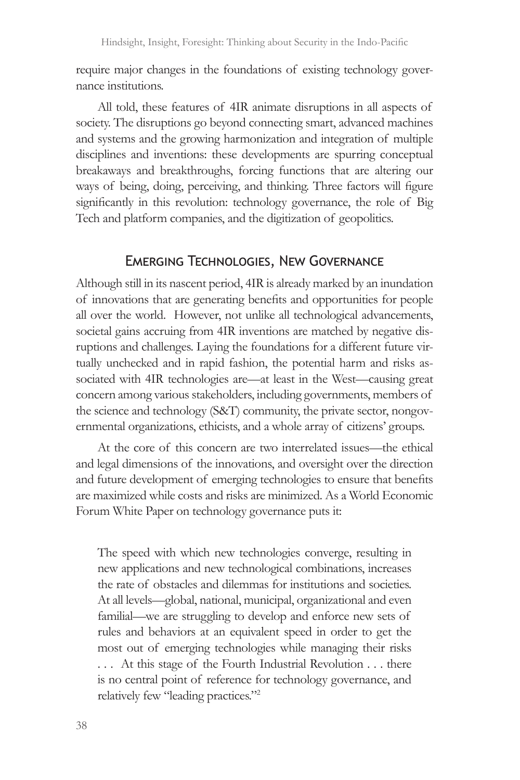require major changes in the foundations of existing technology governance institutions.

All told, these features of 4IR animate disruptions in all aspects of society. The disruptions go beyond connecting smart, advanced machines and systems and the growing harmonization and integration of multiple disciplines and inventions: these developments are spurring conceptual breakaways and breakthroughs, forcing functions that are altering our ways of being, doing, perceiving, and thinking. Three factors will figure significantly in this revolution: technology governance, the role of Big Tech and platform companies, and the digitization of geopolitics.

## Emerging Technologies, New Governance

Although still in its nascent period, 4IR is already marked by an inundation of innovations that are generating benefits and opportunities for people all over the world. However, not unlike all technological advancements, societal gains accruing from 4IR inventions are matched by negative disruptions and challenges. Laying the foundations for a different future virtually unchecked and in rapid fashion, the potential harm and risks associated with 4IR technologies are—at least in the West—causing great concern among various stakeholders, including governments, members of the science and technology (S&T) community, the private sector, nongovernmental organizations, ethicists, and a whole array of citizens' groups.

At the core of this concern are two interrelated issues—the ethical and legal dimensions of the innovations, and oversight over the direction and future development of emerging technologies to ensure that benefits are maximized while costs and risks are minimized. As a World Economic Forum White Paper on technology governance puts it:

The speed with which new technologies converge, resulting in new applications and new technological combinations, increases the rate of obstacles and dilemmas for institutions and societies. At all levels—global, national, municipal, organizational and even familial—we are struggling to develop and enforce new sets of rules and behaviors at an equivalent speed in order to get the most out of emerging technologies while managing their risks . . . At this stage of the Fourth Industrial Revolution . . . there is no central point of reference for technology governance, and relatively few "leading practices."2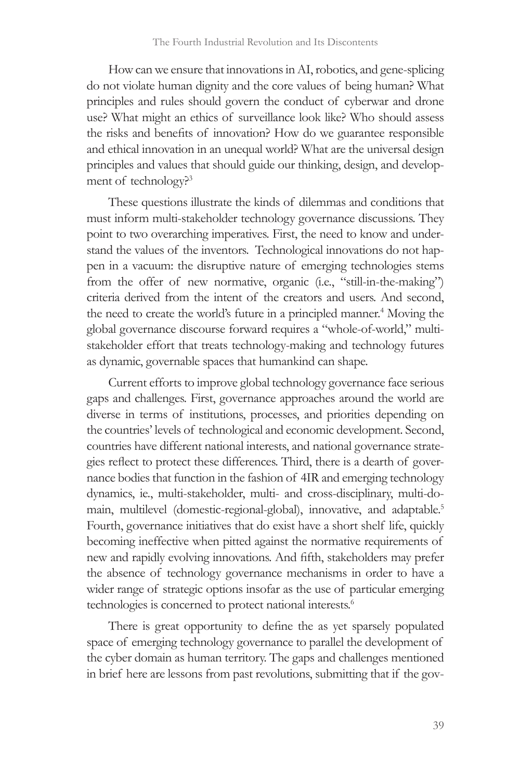How can we ensure that innovations in AI, robotics, and gene-splicing do not violate human dignity and the core values of being human? What principles and rules should govern the conduct of cyberwar and drone use? What might an ethics of surveillance look like? Who should assess the risks and benefits of innovation? How do we guarantee responsible and ethical innovation in an unequal world? What are the universal design principles and values that should guide our thinking, design, and development of technology?<sup>3</sup>

These questions illustrate the kinds of dilemmas and conditions that must inform multi-stakeholder technology governance discussions. They point to two overarching imperatives. First, the need to know and understand the values of the inventors. Technological innovations do not happen in a vacuum: the disruptive nature of emerging technologies stems from the offer of new normative, organic (i.e., "still-in-the-making") criteria derived from the intent of the creators and users. And second, the need to create the world's future in a principled manner.<sup>4</sup> Moving the global governance discourse forward requires a "whole-of-world," multistakeholder effort that treats technology-making and technology futures as dynamic, governable spaces that humankind can shape.

Current efforts to improve global technology governance face serious gaps and challenges. First, governance approaches around the world are diverse in terms of institutions, processes, and priorities depending on the countries' levels of technological and economic development. Second, countries have different national interests, and national governance strategies reflect to protect these differences. Third, there is a dearth of governance bodies that function in the fashion of 4IR and emerging technology dynamics, ie., multi-stakeholder, multi- and cross-disciplinary, multi-domain, multilevel (domestic-regional-global), innovative, and adaptable.<sup>5</sup> Fourth, governance initiatives that do exist have a short shelf life, quickly becoming ineffective when pitted against the normative requirements of new and rapidly evolving innovations. And fifth, stakeholders may prefer the absence of technology governance mechanisms in order to have a wider range of strategic options insofar as the use of particular emerging technologies is concerned to protect national interests.<sup>6</sup>

There is great opportunity to define the as yet sparsely populated space of emerging technology governance to parallel the development of the cyber domain as human territory. The gaps and challenges mentioned in brief here are lessons from past revolutions, submitting that if the gov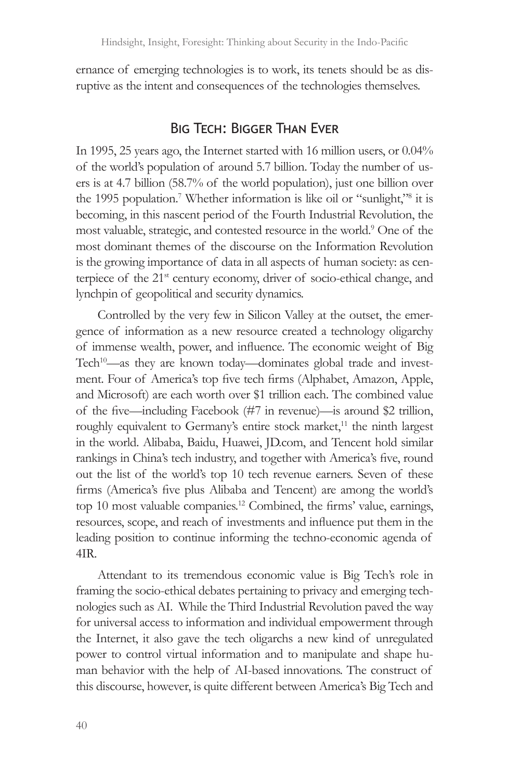ernance of emerging technologies is to work, its tenets should be as disruptive as the intent and consequences of the technologies themselves.

#### Big Tech: Bigger Than Ever

In 1995, 25 years ago, the Internet started with 16 million users, or 0.04% of the world's population of around 5.7 billion. Today the number of users is at 4.7 billion (58.7% of the world population), just one billion over the 1995 population.<sup>7</sup> Whether information is like oil or "sunlight,"<sup>8</sup> it is becoming, in this nascent period of the Fourth Industrial Revolution, the most valuable, strategic, and contested resource in the world.9 One of the most dominant themes of the discourse on the Information Revolution is the growing importance of data in all aspects of human society: as centerpiece of the 21<sup>st</sup> century economy, driver of socio-ethical change, and lynchpin of geopolitical and security dynamics.

Controlled by the very few in Silicon Valley at the outset, the emergence of information as a new resource created a technology oligarchy of immense wealth, power, and influence. The economic weight of Big Tech<sup>10</sup>—as they are known today—dominates global trade and investment. Four of America's top five tech firms (Alphabet, Amazon, Apple, and Microsoft) are each worth over \$1 trillion each. The combined value of the five—including Facebook (#7 in revenue)—is around \$2 trillion, roughly equivalent to Germany's entire stock market,<sup>11</sup> the ninth largest in the world. Alibaba, Baidu, Huawei, JD.com, and Tencent hold similar rankings in China's tech industry, and together with America's five, round out the list of the world's top 10 tech revenue earners. Seven of these firms (America's five plus Alibaba and Tencent) are among the world's top 10 most valuable companies.12 Combined, the firms' value, earnings, resources, scope, and reach of investments and influence put them in the leading position to continue informing the techno-economic agenda of 4IR.

Attendant to its tremendous economic value is Big Tech's role in framing the socio-ethical debates pertaining to privacy and emerging technologies such as AI. While the Third Industrial Revolution paved the way for universal access to information and individual empowerment through the Internet, it also gave the tech oligarchs a new kind of unregulated power to control virtual information and to manipulate and shape human behavior with the help of AI-based innovations. The construct of this discourse, however, is quite different between America's Big Tech and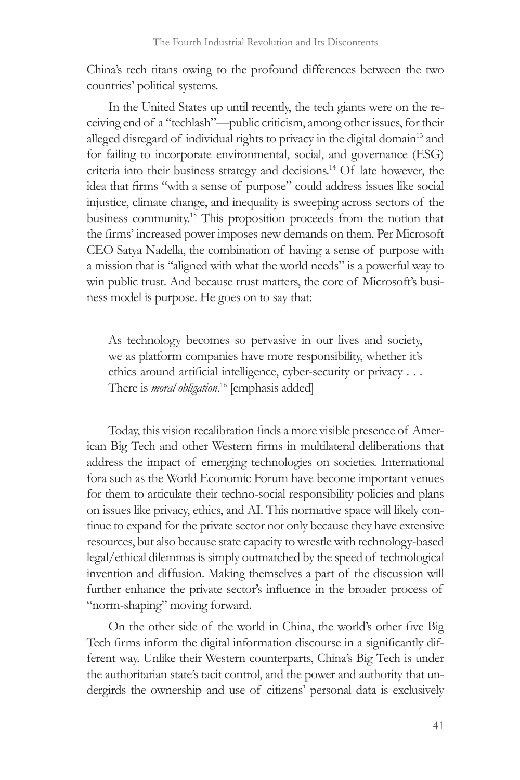China's tech titans owing to the profound differences between the two countries' political systems.

In the United States up until recently, the tech giants were on the receiving end of a "techlash"—public criticism, among other issues, for their alleged disregard of individual rights to privacy in the digital domain<sup>13</sup> and for failing to incorporate environmental, social, and governance (ESG) criteria into their business strategy and decisions.<sup>14</sup> Of late however, the idea that firms "with a sense of purpose" could address issues like social injustice, climate change, and inequality is sweeping across sectors of the business community.15 This proposition proceeds from the notion that the firms' increased power imposes new demands on them. Per Microsoft CEO Satya Nadella, the combination of having a sense of purpose with a mission that is "aligned with what the world needs" is a powerful way to win public trust. And because trust matters, the core of Microsoft's business model is purpose. He goes on to say that:

As technology becomes so pervasive in our lives and society, we as platform companies have more responsibility, whether it's ethics around artificial intelligence, cyber-security or privacy . . . There is *moral obligation*. 16 [emphasis added]

Today, this vision recalibration finds a more visible presence of American Big Tech and other Western firms in multilateral deliberations that address the impact of emerging technologies on societies. International fora such as the World Economic Forum have become important venues for them to articulate their techno-social responsibility policies and plans on issues like privacy, ethics, and AI. This normative space will likely continue to expand for the private sector not only because they have extensive resources, but also because state capacity to wrestle with technology-based legal/ethical dilemmas is simply outmatched by the speed of technological invention and diffusion. Making themselves a part of the discussion will further enhance the private sector's influence in the broader process of "norm-shaping" moving forward.

On the other side of the world in China, the world's other five Big Tech firms inform the digital information discourse in a significantly different way. Unlike their Western counterparts, China's Big Tech is under the authoritarian state's tacit control, and the power and authority that undergirds the ownership and use of citizens' personal data is exclusively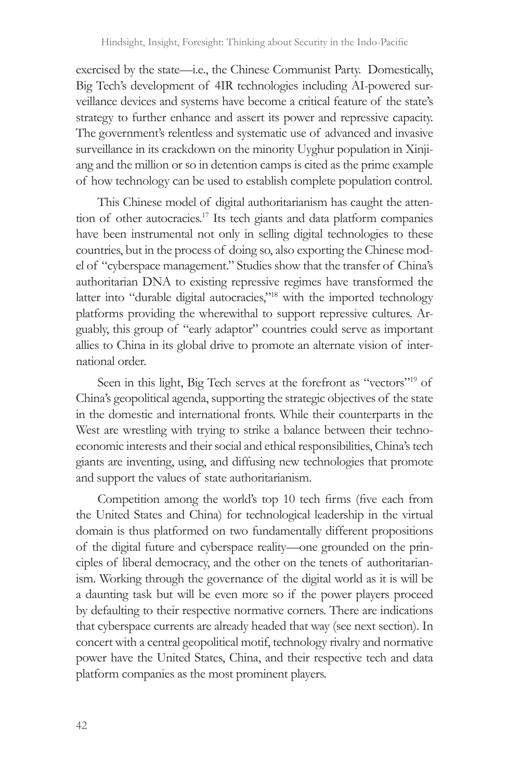exercised by the state—i.e., the Chinese Communist Party. Domestically, Big Tech's development of 4IR technologies including AI-powered surveillance devices and systems have become a critical feature of the state's strategy to further enhance and assert its power and repressive capacity. The government's relentless and systematic use of advanced and invasive surveillance in its crackdown on the minority Uyghur population in Xinjiang and the million or so in detention camps is cited as the prime example of how technology can be used to establish complete population control.

This Chinese model of digital authoritarianism has caught the attention of other autocracies.<sup>17</sup> Its tech giants and data platform companies have been instrumental not only in selling digital technologies to these countries, but in the process of doing so, also exporting the Chinese model of "cyberspace management." Studies show that the transfer of China's authoritarian DNA to existing repressive regimes have transformed the latter into "durable digital autocracies,"<sup>18</sup> with the imported technology platforms providing the wherewithal to support repressive cultures. Arguably, this group of "early adaptor" countries could serve as important allies to China in its global drive to promote an alternate vision of international order.

Seen in this light, Big Tech serves at the forefront as "vectors"<sup>19</sup> of China's geopolitical agenda, supporting the strategic objectives of the state in the domestic and international fronts. While their counterparts in the West are wrestling with trying to strike a balance between their technoeconomic interests and their social and ethical responsibilities, China's tech giants are inventing, using, and diffusing new technologies that promote and support the values of state authoritarianism.

Competition among the world's top 10 tech firms (five each from the United States and China) for technological leadership in the virtual domain is thus platformed on two fundamentally different propositions of the digital future and cyberspace reality—one grounded on the principles of liberal democracy, and the other on the tenets of authoritarianism. Working through the governance of the digital world as it is will be a daunting task but will be even more so if the power players proceed by defaulting to their respective normative corners. There are indications that cyberspace currents are already headed that way (see next section). In concert with a central geopolitical motif, technology rivalry and normative power have the United States, China, and their respective tech and data platform companies as the most prominent players.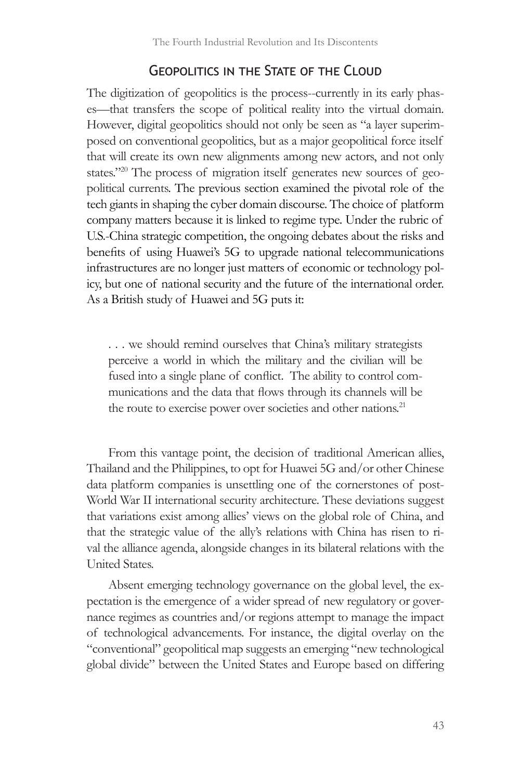### Geopolitics in the State of the Cloud

The digitization of geopolitics is the process--currently in its early phases—that transfers the scope of political reality into the virtual domain. However, digital geopolitics should not only be seen as "a layer superimposed on conventional geopolitics, but as a major geopolitical force itself that will create its own new alignments among new actors, and not only states."20 The process of migration itself generates new sources of geopolitical currents. The previous section examined the pivotal role of the tech giants in shaping the cyber domain discourse. The choice of platform company matters because it is linked to regime type. Under the rubric of U.S.-China strategic competition, the ongoing debates about the risks and benefits of using Huawei's 5G to upgrade national telecommunications infrastructures are no longer just matters of economic or technology policy, but one of national security and the future of the international order. As a British study of Huawei and 5G puts it:

. . . we should remind ourselves that China's military strategists perceive a world in which the military and the civilian will be fused into a single plane of conflict. The ability to control communications and the data that flows through its channels will be the route to exercise power over societies and other nations.<sup>21</sup>

From this vantage point, the decision of traditional American allies, Thailand and the Philippines, to opt for Huawei 5G and/or other Chinese data platform companies is unsettling one of the cornerstones of post-World War II international security architecture. These deviations suggest that variations exist among allies' views on the global role of China, and that the strategic value of the ally's relations with China has risen to rival the alliance agenda, alongside changes in its bilateral relations with the United States.

Absent emerging technology governance on the global level, the expectation is the emergence of a wider spread of new regulatory or governance regimes as countries and/or regions attempt to manage the impact of technological advancements. For instance, the digital overlay on the "conventional" geopolitical map suggests an emerging "new technological global divide" between the United States and Europe based on differing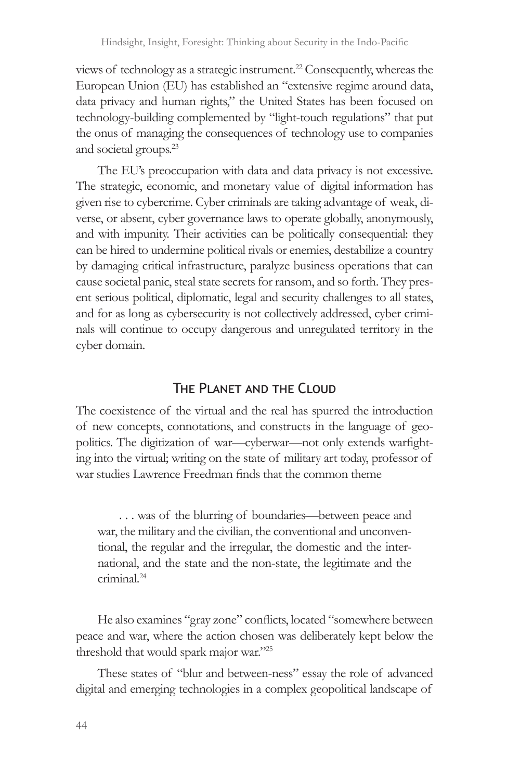views of technology as a strategic instrument.22 Consequently, whereas the European Union (EU) has established an "extensive regime around data, data privacy and human rights," the United States has been focused on technology-building complemented by "light-touch regulations" that put the onus of managing the consequences of technology use to companies and societal groups.23

The EU's preoccupation with data and data privacy is not excessive. The strategic, economic, and monetary value of digital information has given rise to cybercrime. Cyber criminals are taking advantage of weak, diverse, or absent, cyber governance laws to operate globally, anonymously, and with impunity. Their activities can be politically consequential: they can be hired to undermine political rivals or enemies, destabilize a country by damaging critical infrastructure, paralyze business operations that can cause societal panic, steal state secrets for ransom, and so forth. They present serious political, diplomatic, legal and security challenges to all states, and for as long as cybersecurity is not collectively addressed, cyber criminals will continue to occupy dangerous and unregulated territory in the cyber domain.

#### The Planet and the Cloud

The coexistence of the virtual and the real has spurred the introduction of new concepts, connotations, and constructs in the language of geopolitics. The digitization of war—cyberwar—not only extends warfighting into the virtual; writing on the state of military art today, professor of war studies Lawrence Freedman finds that the common theme

. . . was of the blurring of boundaries—between peace and war, the military and the civilian, the conventional and unconventional, the regular and the irregular, the domestic and the international, and the state and the non-state, the legitimate and the criminal.<sup>24</sup>

He also examines "gray zone" conflicts, located "somewhere between peace and war, where the action chosen was deliberately kept below the threshold that would spark major war."<sup>25</sup>

These states of "blur and between-ness" essay the role of advanced digital and emerging technologies in a complex geopolitical landscape of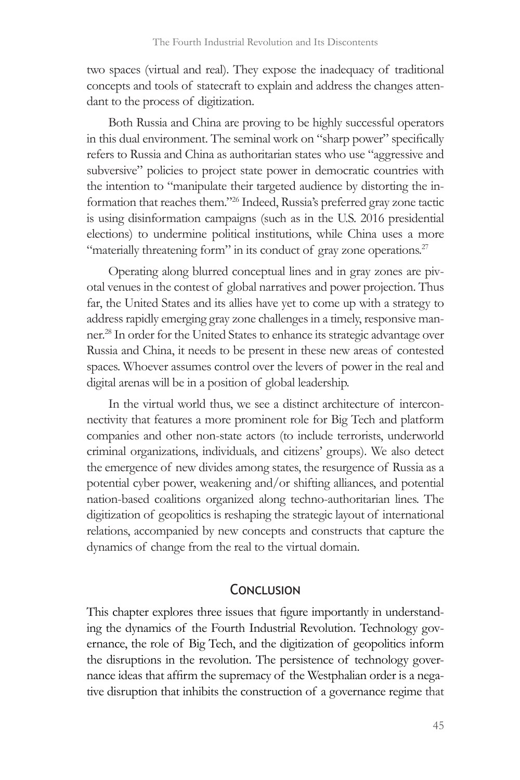two spaces (virtual and real). They expose the inadequacy of traditional concepts and tools of statecraft to explain and address the changes attendant to the process of digitization.

Both Russia and China are proving to be highly successful operators in this dual environment. The seminal work on "sharp power" specifically refers to Russia and China as authoritarian states who use "aggressive and subversive" policies to project state power in democratic countries with the intention to "manipulate their targeted audience by distorting the information that reaches them."26 Indeed, Russia's preferred gray zone tactic is using disinformation campaigns (such as in the U.S. 2016 presidential elections) to undermine political institutions, while China uses a more "materially threatening form" in its conduct of gray zone operations.<sup>27</sup>

Operating along blurred conceptual lines and in gray zones are pivotal venues in the contest of global narratives and power projection. Thus far, the United States and its allies have yet to come up with a strategy to address rapidly emerging gray zone challenges in a timely, responsive manner.28 In order for the United States to enhance its strategic advantage over Russia and China, it needs to be present in these new areas of contested spaces. Whoever assumes control over the levers of power in the real and digital arenas will be in a position of global leadership.

In the virtual world thus, we see a distinct architecture of interconnectivity that features a more prominent role for Big Tech and platform companies and other non-state actors (to include terrorists, underworld criminal organizations, individuals, and citizens' groups). We also detect the emergence of new divides among states, the resurgence of Russia as a potential cyber power, weakening and/or shifting alliances, and potential nation-based coalitions organized along techno-authoritarian lines. The digitization of geopolitics is reshaping the strategic layout of international relations, accompanied by new concepts and constructs that capture the dynamics of change from the real to the virtual domain.

#### **CONCLUSION**

This chapter explores three issues that figure importantly in understanding the dynamics of the Fourth Industrial Revolution. Technology governance, the role of Big Tech, and the digitization of geopolitics inform the disruptions in the revolution. The persistence of technology governance ideas that affirm the supremacy of the Westphalian order is a negative disruption that inhibits the construction of a governance regime that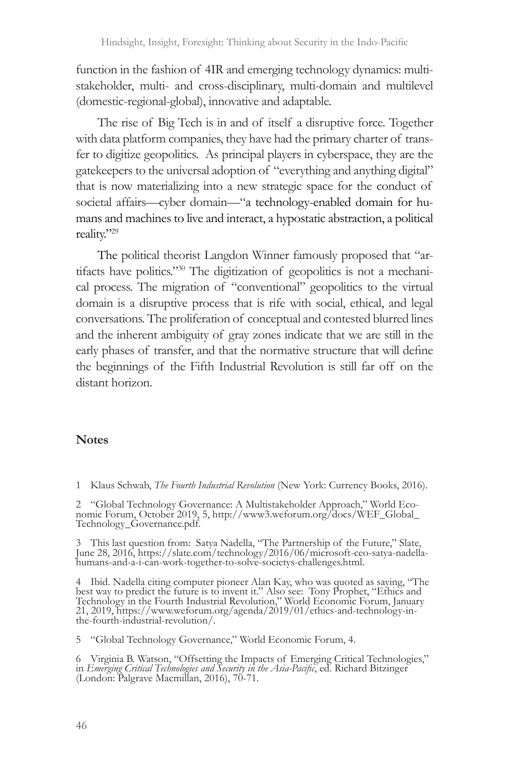function in the fashion of 4IR and emerging technology dynamics: multistakeholder, multi- and cross-disciplinary, multi-domain and multilevel (domestic-regional-global), innovative and adaptable.

The rise of Big Tech is in and of itself a disruptive force. Together with data platform companies, they have had the primary charter of transfer to digitize geopolitics. As principal players in cyberspace, they are the gatekeepers to the universal adoption of "everything and anything digital" that is now materializing into a new strategic space for the conduct of societal affairs—cyber domain—"a technology-enabled domain for humans and machines to live and interact, a hypostatic abstraction, a political reality."29

The political theorist Langdon Winner famously proposed that "artifacts have politics."30 The digitization of geopolitics is not a mechanical process. The migration of "conventional" geopolitics to the virtual domain is a disruptive process that is rife with social, ethical, and legal conversations. The proliferation of conceptual and contested blurred lines and the inherent ambiguity of gray zones indicate that we are still in the early phases of transfer, and that the normative structure that will define the beginnings of the Fifth Industrial Revolution is still far off on the distant horizon.

#### **Notes**

1 Klaus Schwab, *The Fourth Industrial Revolution* (New York: Currency Books, 2016).

2 "Global Technology Governance: A Multistakeholder Approach," World Eco- nomic Forum, October 2019, 5, http://www3.weforum.org/docs/WEF\_Global\_ Technology\_Governance.pdf.

3 This last question from: Satya Nadella, "The Partnership of the Future," Slate, June 28, 2016, https://slate.com/technology/2016/06/microsoft-ceo-satya-nadella-humans-and-a-i-can-work-together-to-solve-societys-challenge

4 Ibid. Nadella citing computer pioneer Alan Kay, who was quoted as saying, "The best way to predict the future is to invent it." Also see: Tony Prophet, "Ethics and Technology in the Fourth Industrial Revolution," World Economic Forum, January 21, 2019, https://www.weforum.org/agenda/2019/01/ethics-and-technology-in- the-fourth-industrial-revolution/.

5 "Global Technology Governance," World Economic Forum, 4.

6 Virginia B. Watson, "Offsetting the Impacts of Emerging Critical Technologies," in *Emerging Critical Technologies and Security in the Asia-Pacific*, ed. Richard Bitzinger (London: Palgrave Macmillan, 2016), 70-71.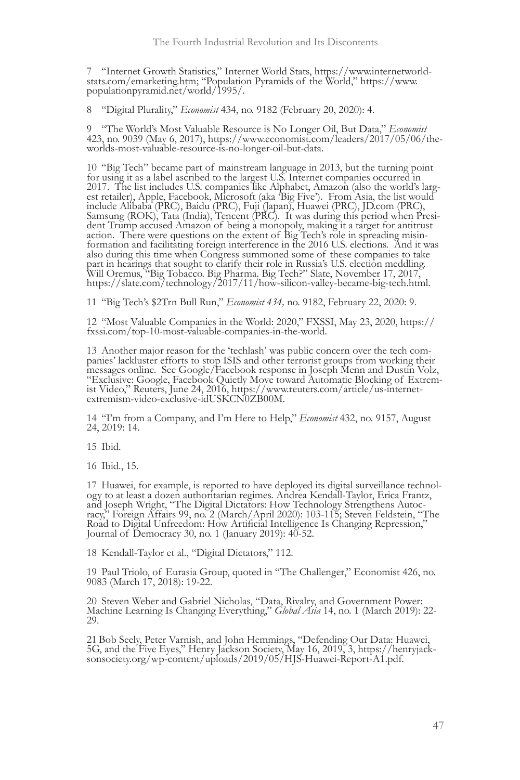7 "Internet Growth Statistics," Internet World Stats, https://www.internetworld- stats.com/emarketing.htm; "Population Pyramids of the World," https://www. populationpyramid.net/world/1995/.

8 "Digital Plurality," *Economist* 434, no. 9182 (February 20, 2020): 4.

9 "The World's Most Valuable Resource is No Longer Oil, But Data," *Economist* 423, no. 9039 (May 6, 2017), https://www.economist.com/leaders/2017/05/06/the- worlds-most-valuable-resource-is-no-longer-oil-but-data.

<sup>10</sup> "Big Tech" became part of mainstream language in 2013, but the turning point for using it as a label ascribed to the largest U.S. Internet companies occurred in 2017. The list includes U.S. companies like Alphabet, Amazon (also the world's larg- est retailer), Apple, Facebook, Microsoft (aka 'Big Five'). From Asia, the list would include Alibaba (PRC), Baidu (PRC), Fuji (Japan), Huawei (PRC), JD.com (PRC), Samsung (ROK), Tata (India), Tencent (PRC). It was during this period when Presi- dent Trump accused Amazon of being a monopoly, making it a target for antitrust action. There were questions on the extent of Big Tech's role in spreading misin-<br>formation and facilitating foreign interference in the 2016 U.S. elections. And it was also during this time when Congress summoned some of these companies to take part in hearings that sought to clarify their role in Russia's U.S. election meddling. Will Oremus, "Big Tobacco. Big Pharma. Big Tech?" Slate, November 17, 2017, https://slate.com/technology/2017/11/how-silicon-valley-became-big-tech.html.

11 "Big Tech's \$2Trn Bull Run," *Economist 434,* no. 9182, February 22, 2020: 9.

<sup>12</sup> "Most Valuable Companies in the World: 2020," FXSSI, May 23, 2020, https:// fxssi.com/top-10-most-valuable-companies-in-the-world.

13 Another major reason for the 'techlash' was public concern over the tech com-<br>panies' lackluster efforts to stop ISIS and other terrorist groups from working their messages online. See Google/Facebook response in Joseph Menn and Dustin Volz, "Exclusive: Google, Facebook Quietly Move toward Automatic Blocking of Extrem- ist Video," Reuters, June 24, 2016, https://www.reuters.com/article/us-internet- extremism-video-exclusive-idUSKCN0ZB00M.

<sup>14</sup> "I'm from a Company, and I'm Here to Help," *Economist* 432, no. 9157, August 24, 2019: 14.

15 Ibid.

16 Ibid., 15.

17 Huawei, for example, is reported to have deployed its digital surveillance technology to at least a dozen authoritarian regimes. Andrea Kendall-Taylor, Erica Frantz, and Joseph Wright, "The Digital Dictators: How Techno Road to Digital Unfreedom: How Artificial Intelligence Is Changing Repression," Journal of Democracy 30, no. 1 (January 2019): 40-52.

18 Kendall-Taylor et al., "Digital Dictators," 112.

<sup>19</sup> Paul Triolo, of Eurasia Group, quoted in "The Challenger," Economist 426, no. 9083 (March 17, 2018): 19-22.

<sup>20</sup> Steven Weber and Gabriel Nicholas, "Data, Rivalry, and Government Power: Machine Learning Is Changing Everything," *Global Asia* 14, no. 1 (March 2019): 22- 29.

21 Bob Seely, Peter Varnish, and John Hemmings, "Defending Our Data: Huawei, 5G, and the Five Eyes," Henry Jackson Society, May 16, 2019, 3, https://henryjacksonsociety.org/wp-content/uploads/2019/05/HJS-Huawei-Report-A1.p